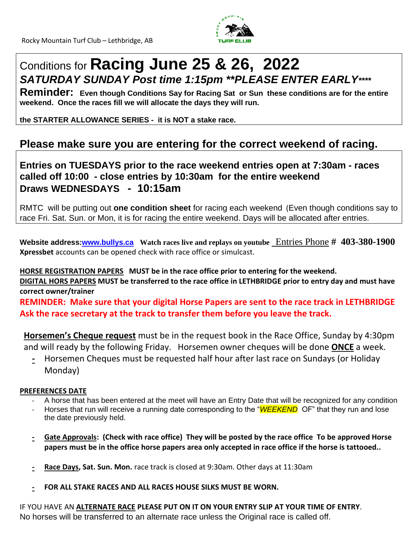

# Conditions for **Racing June 25 & 26, 2022** *SATURDAY SUNDAY Post time 1:15pm \*\*PLEASE ENTER EARLY\*\*\*\**

**Reminder: Even though Conditions Say for Racing Sat or Sun these conditions are for the entire weekend. Once the races fill we will allocate the days they will run.**

**the STARTER ALLOWANCE SERIES - it is NOT a stake race.**

### **Please make sure you are entering for the correct weekend of racing.**

**Entries on TUESDAYS prior to the race weekend entries open at 7:30am - races called off 10:00 - close entries by 10:30am for the entire weekend Draws WEDNESDAYS - 10:15am**

RMTC will be putting out **one condition sheet** for racing each weekend (Even though conditions say to race Fri. Sat. Sun. or Mon, it is for racing the entire weekend. Days will be allocated after entries.

**Website address[:www.bullys.ca](http://www.bullys.ca/) Watch races live and replays on youtube** Entries Phone **# 403-380-1900 Xpressbet** accounts can be opened check with race office or simulcast.

**HORSE REGISTRATION PAPERS MUST be in the race office prior to entering for the weekend. DIGITAL HORS PAPERS MUST be transferred to the race office in LETHBRIDGE prior to entry day and must have correct owner/trainer REMINDER: Make sure that your digital Horse Papers are sent to the race track in LETHBRIDGE**

**Ask the race secretary at the track to transfer them before you leave the track.**

**Horsemen's Cheque request** must be in the request book in the Race Office, Sunday by 4:30pm and will ready by the following Friday. Horsemen owner cheques will be done **ONCE** a week.

**-** Horsemen Cheques must be requested half hour after last race on Sundays (or Holiday Monday)

#### **PREFERENCES DATE**

- A horse that has been entered at the meet will have an Entry Date that will be recognized for any condition
- Horses that run will receive a running date corresponding to the "*WEEKEND* OF" that they run and lose the date previously held.
- **- Gate Approvals: (Check with race office) They will be posted by the race office To be approved Horse papers must be in the office horse papers area only accepted in race office if the horse is tattooed..**
- **- Race Days, Sat. Sun. Mon.** race track is closed at 9:30am. Other days at 11:30am
- **- FOR ALL STAKE RACES AND ALL RACES HOUSE SILKS MUST BE WORN.**

IF YOU HAVE AN **ALTERNATE RACE PLEASE PUT ON IT ON YOUR ENTRY SLIP AT YOUR TIME OF ENTRY**. No horses will be transferred to an alternate race unless the Original race is called off.